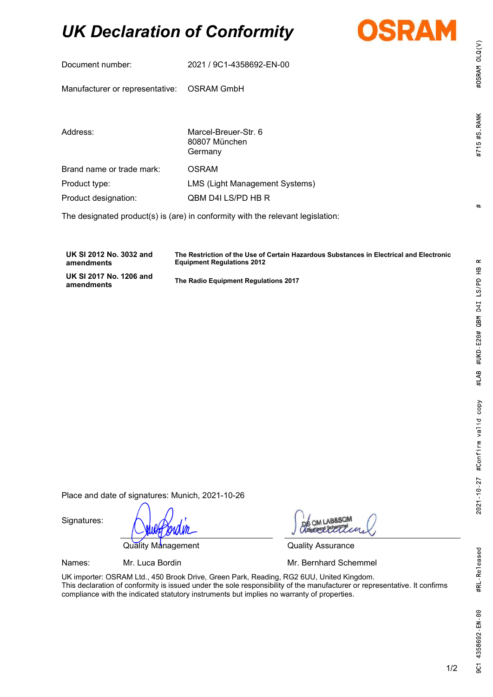# UK Declaration of Conformity



|                                                                                 | Document number:                | 2021 / 9C1-4358692-EN-00                         |  |
|---------------------------------------------------------------------------------|---------------------------------|--------------------------------------------------|--|
|                                                                                 | Manufacturer or representative: | <b>OSRAM GmbH</b>                                |  |
|                                                                                 |                                 |                                                  |  |
|                                                                                 | Address:                        | Marcel-Breuer-Str. 6<br>80807 München<br>Germany |  |
|                                                                                 | Brand name or trade mark:       | <b>OSRAM</b>                                     |  |
|                                                                                 | Product type:                   | <b>LMS (Light Management Systems)</b>            |  |
|                                                                                 | Product designation:            | QBM D4I LS/PD HB R                               |  |
| The designated product(s) is (are) in conformity with the relevant legislation: |                                 |                                                  |  |
|                                                                                 |                                 |                                                  |  |
|                                                                                 |                                 |                                                  |  |

UK SI 2012 No. 3032 and amendments The Restriction of the Use of Certain Hazardous Substances in Electrical and Electronic Equipment Regulations 2012 UK SI 2017 No. 1206 and The Radio Equipment Regulations 2017

Place and date of signatures: Munich, 2021-10-26

Signatures:

Quality Management Cuality Assurance

Names: Mr. Luca Bordin Mr. Bernhard Schemmel

 $0Q<sub>0</sub>$ 

UK importer: OSRAM Ltd., 450 Brook Drive, Green Park, Reading, RG2 6UU, United Kingdom. This declaration of conformity is issued under the sole responsibility of the manufacturer or representative. It confirms compliance with the indicated statutory instruments but implies no warranty of properties.

#OSRAM OLQ(V)

#715 #S RANK